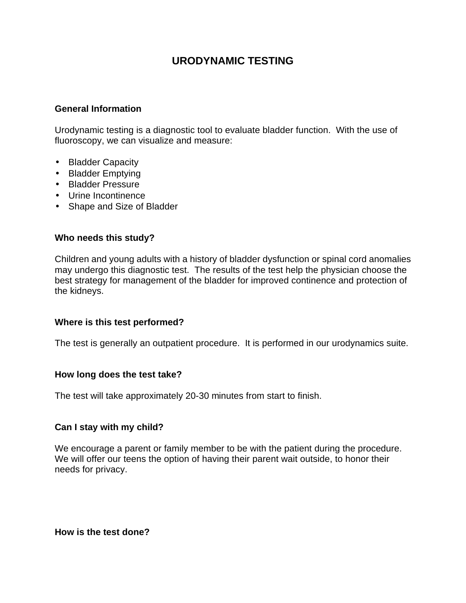# **URODYNAMIC TESTING**

## **General Information**

Urodynamic testing is a diagnostic tool to evaluate bladder function. With the use of fluoroscopy, we can visualize and measure:

- Bladder Capacity
- Bladder Emptying
- Bladder Pressure
- Urine Incontinence
- Shape and Size of Bladder

## **Who needs this study?**

Children and young adults with a history of bladder dysfunction or spinal cord anomalies may undergo this diagnostic test. The results of the test help the physician choose the best strategy for management of the bladder for improved continence and protection of the kidneys.

## **Where is this test performed?**

The test is generally an outpatient procedure. It is performed in our urodynamics suite.

## **How long does the test take?**

The test will take approximately 20-30 minutes from start to finish.

## **Can I stay with my child?**

We encourage a parent or family member to be with the patient during the procedure. We will offer our teens the option of having their parent wait outside, to honor their needs for privacy.

**How is the test done?**